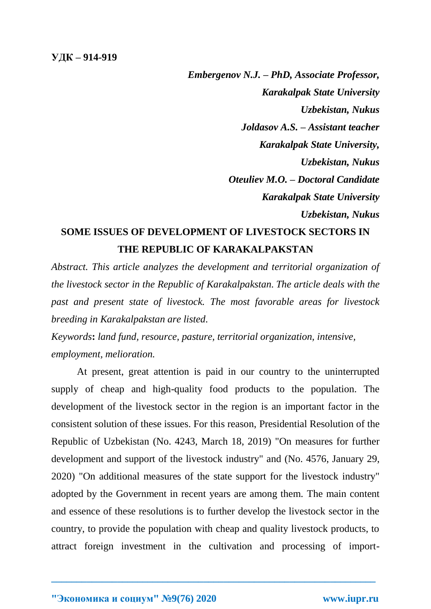*Embergenov N.J. – PhD, Associate Professor, Karakalpak State University Uzbekistan, Nukus Joldasov A.S. – Assistant teacher Karakalpak State University, Uzbekistan, Nukus Oteuliev M.O. – Doctoral Candidate Karakalpak State University Uzbekistan, Nukus*

## **SOME ISSUES OF DEVELOPMENT OF LIVESTOCK SECTORS IN THE REPUBLIC OF KARAKALPAKSTAN**

*Abstract. This article analyzes the development and territorial organization of the livestock sector in the Republic of Karakalpakstan. The article deals with the past and present state of livestock. The most favorable areas for livestock breeding in Karakalpakstan are listed.*

*Keywords***:** *land fund, resource, pasture, territorial organization, intensive, employment, melioration.*

At present, great attention is paid in our country to the uninterrupted supply of cheap and high-quality food products to the population. The development of the livestock sector in the region is an important factor in the consistent solution of these issues. For this reason, Presidential Resolution of the Republic of Uzbekistan (No. 4243, March 18, 2019) "On measures for further development and support of the livestock industry" and (No. 4576, January 29, 2020) "On additional measures of the state support for the livestock industry" adopted by the Government in recent years are among them. The main content and essence of these resolutions is to further develop the livestock sector in the country, to provide the population with cheap and quality livestock products, to attract foreign investment in the cultivation and processing of import-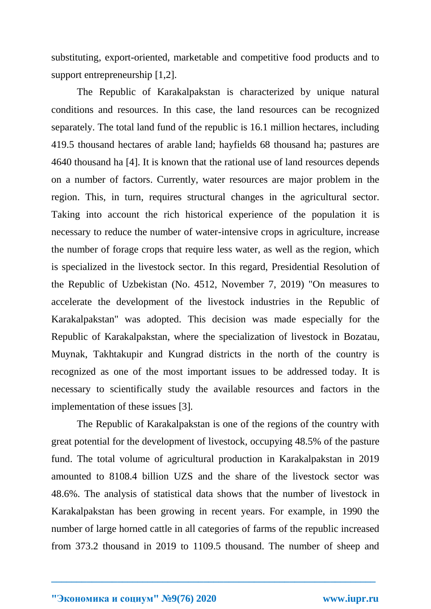substituting, export-oriented, marketable and competitive food products and to support entrepreneurship [1,2].

The Republic of Karakalpakstan is characterized by unique natural conditions and resources. In this case, the land resources can be recognized separately. The total land fund of the republic is 16.1 million hectares, including 419.5 thousand hectares of arable land; hayfields 68 thousand ha; pastures are 4640 thousand ha [4]. It is known that the rational use of land resources depends on a number of factors. Currently, water resources are major problem in the region. This, in turn, requires structural changes in the agricultural sector. Taking into account the rich historical experience of the population it is necessary to reduce the number of water-intensive crops in agriculture, increase the number of forage crops that require less water, as well as the region, which is specialized in the livestock sector. In this regard, Presidential Resolution of the Republic of Uzbekistan (No. 4512, November 7, 2019) "On measures to accelerate the development of the livestock industries in the Republic of Karakalpakstan" was adopted. This decision was made especially for the Republic of Karakalpakstan, where the specialization of livestock in Bozatau, Muynak, Takhtakupir and Kungrad districts in the north of the country is recognized as one of the most important issues to be addressed today. It is necessary to scientifically study the available resources and factors in the implementation of these issues [3].

The Republic of Karakalpakstan is one of the regions of the country with great potential for the development of livestock, occupying 48.5% of the pasture fund. The total volume of agricultural production in Karakalpakstan in 2019 amounted to 8108.4 billion UZS and the share of the livestock sector was 48.6%. The analysis of statistical data shows that the number of livestock in Karakalpakstan has been growing in recent years. For example, in 1990 the number of large horned cattle in all categories of farms of the republic increased from 373.2 thousand in 2019 to 1109.5 thousand. The number of sheep and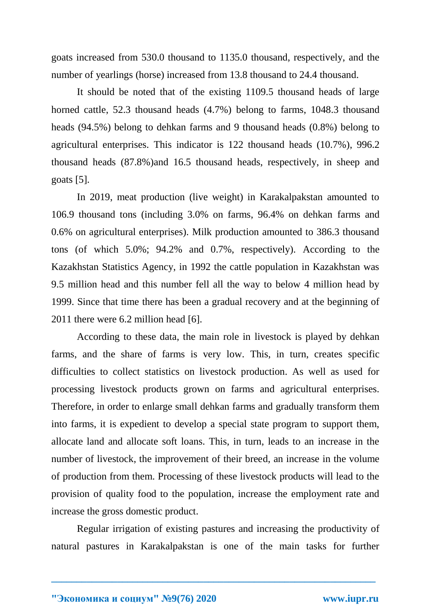goats increased from 530.0 thousand to 1135.0 thousand, respectively, and the number of yearlings (horse) increased from 13.8 thousand to 24.4 thousand.

It should be noted that of the existing 1109.5 thousand heads of large horned cattle, 52.3 thousand heads (4.7%) belong to farms, 1048.3 thousand heads (94.5%) belong to dehkan farms and 9 thousand heads (0.8%) belong to agricultural enterprises. This indicator is 122 thousand heads (10.7%), 996.2 thousand heads (87.8%)and 16.5 thousand heads, respectively, in sheep and goats [5].

In 2019, meat production (live weight) in Karakalpakstan amounted to 106.9 thousand tons (including 3.0% on farms, 96.4% on dehkan farms and 0.6% on agricultural enterprises). Milk production amounted to 386.3 thousand tons (of which 5.0%; 94.2% and 0.7%, respectively). According to the Kazakhstan Statistics Agency, in 1992 the cattle population in Kazakhstan was 9.5 million head and this number fell all the way to below 4 million head by 1999. Since that time there has been a gradual recovery and at the beginning of 2011 there were 6.2 million head [6].

According to these data, the main role in livestock is played by dehkan farms, and the share of farms is very low. This, in turn, creates specific difficulties to collect statistics on livestock production. As well as used for processing livestock products grown on farms and agricultural enterprises. Therefore, in order to enlarge small dehkan farms and gradually transform them into farms, it is expedient to develop a special state program to support them, allocate land and allocate soft loans. This, in turn, leads to an increase in the number of livestock, the improvement of their breed, an increase in the volume of production from them. Processing of these livestock products will lead to the provision of quality food to the population, increase the employment rate and increase the gross domestic product.

Regular irrigation of existing pastures and increasing the productivity of natural pastures in Karakalpakstan is one of the main tasks for further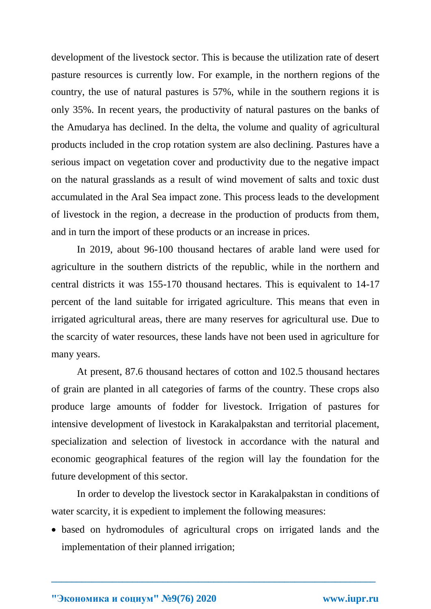development of the livestock sector. This is because the utilization rate of desert pasture resources is currently low. For example, in the northern regions of the country, the use of natural pastures is 57%, while in the southern regions it is only 35%. In recent years, the productivity of natural pastures on the banks of the Amudarya has declined. In the delta, the volume and quality of agricultural products included in the crop rotation system are also declining. Pastures have a serious impact on vegetation cover and productivity due to the negative impact on the natural grasslands as a result of wind movement of salts and toxic dust accumulated in the Aral Sea impact zone. This process leads to the development of livestock in the region, a decrease in the production of products from them, and in turn the import of these products or an increase in prices.

In 2019, about 96-100 thousand hectares of arable land were used for agriculture in the southern districts of the republic, while in the northern and central districts it was 155-170 thousand hectares. This is equivalent to 14-17 percent of the land suitable for irrigated agriculture. This means that even in irrigated agricultural areas, there are many reserves for agricultural use. Due to the scarcity of water resources, these lands have not been used in agriculture for many years.

At present, 87.6 thousand hectares of cotton and 102.5 thousand hectares of grain are planted in all categories of farms of the country. These crops also produce large amounts of fodder for livestock. Irrigation of pastures for intensive development of livestock in Karakalpakstan and territorial placement, specialization and selection of livestock in accordance with the natural and economic geographical features of the region will lay the foundation for the future development of this sector.

In order to develop the livestock sector in Karakalpakstan in conditions of water scarcity, it is expedient to implement the following measures:

• based on hydromodules of agricultural crops on irrigated lands and the implementation of their planned irrigation;